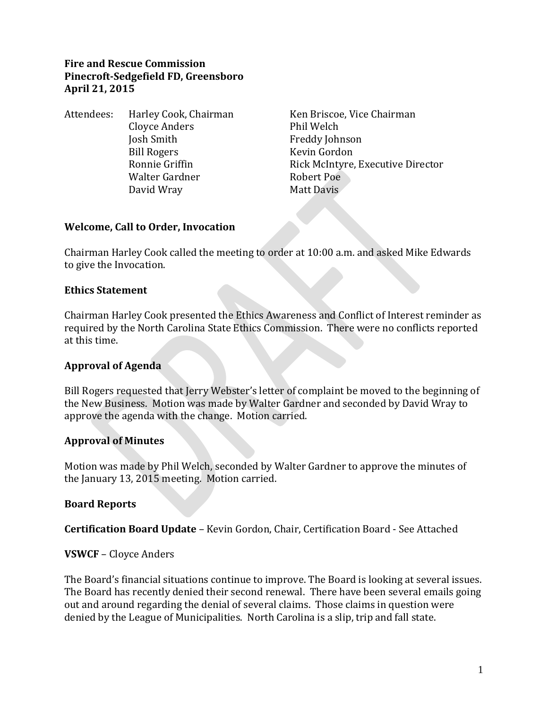#### **Fire and Rescue Commission Pinecroft-Sedgefield FD, Greensboro April 21, 2015**

Attendees: Harley Cook, Chairman Ken Briscoe, Vice Chairman Cloyce Anders Phil Welch Josh Smith Freddy Johnson Bill Rogers **Kevin Gordon** Walter Gardner **Robert Poe** David Wray Matt Davis

Ronnie Griffin **Rick McIntyre, Executive Director** 

#### **Welcome, Call to Order, Invocation**

Chairman Harley Cook called the meeting to order at 10:00 a.m. and asked Mike Edwards to give the Invocation.

## **Ethics Statement**

Chairman Harley Cook presented the Ethics Awareness and Conflict of Interest reminder as required by the North Carolina State Ethics Commission. There were no conflicts reported at this time.

## **Approval of Agenda**

Bill Rogers requested that Jerry Webster's letter of complaint be moved to the beginning of the New Business. Motion was made by Walter Gardner and seconded by David Wray to approve the agenda with the change. Motion carried.

## **Approval of Minutes**

Motion was made by Phil Welch, seconded by Walter Gardner to approve the minutes of the January 13, 2015 meeting. Motion carried.

#### **Board Reports**

**Certification Board Update** – Kevin Gordon, Chair, Certification Board - See Attached

#### **VSWCF** – Cloyce Anders

The Board's financial situations continue to improve. The Board is looking at several issues. The Board has recently denied their second renewal. There have been several emails going out and around regarding the denial of several claims. Those claims in question were denied by the League of Municipalities. North Carolina is a slip, trip and fall state.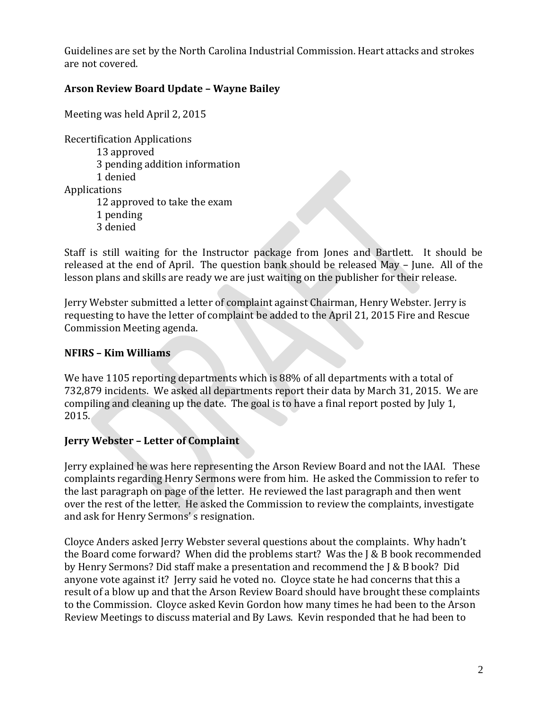Guidelines are set by the North Carolina Industrial Commission. Heart attacks and strokes are not covered.

### **Arson Review Board Update – Wayne Bailey**

Meeting was held April 2, 2015

Recertification Applications 13 approved 3 pending addition information 1 denied Applications 12 approved to take the exam 1 pending 3 denied

Staff is still waiting for the Instructor package from Jones and Bartlett. It should be released at the end of April. The question bank should be released May – June. All of the lesson plans and skills are ready we are just waiting on the publisher for their release.

Jerry Webster submitted a letter of complaint against Chairman, Henry Webster. Jerry is requesting to have the letter of complaint be added to the April 21, 2015 Fire and Rescue Commission Meeting agenda.

#### **NFIRS – Kim Williams**

We have 1105 reporting departments which is 88% of all departments with a total of 732,879 incidents. We asked all departments report their data by March 31, 2015. We are compiling and cleaning up the date. The goal is to have a final report posted by July 1, 2015.

#### **Jerry Webster – Letter of Complaint**

Jerry explained he was here representing the Arson Review Board and not the IAAI. These complaints regarding Henry Sermons were from him. He asked the Commission to refer to the last paragraph on page of the letter. He reviewed the last paragraph and then went over the rest of the letter. He asked the Commission to review the complaints, investigate and ask for Henry Sermons' s resignation.

Cloyce Anders asked Jerry Webster several questions about the complaints. Why hadn't the Board come forward? When did the problems start? Was the J & B book recommended by Henry Sermons? Did staff make a presentation and recommend the J & B book? Did anyone vote against it? Jerry said he voted no. Cloyce state he had concerns that this a result of a blow up and that the Arson Review Board should have brought these complaints to the Commission. Cloyce asked Kevin Gordon how many times he had been to the Arson Review Meetings to discuss material and By Laws. Kevin responded that he had been to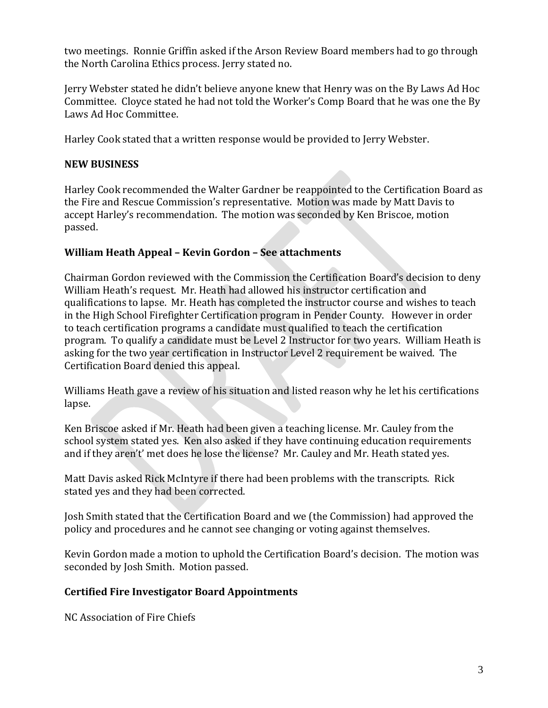two meetings. Ronnie Griffin asked if the Arson Review Board members had to go through the North Carolina Ethics process. Jerry stated no.

Jerry Webster stated he didn't believe anyone knew that Henry was on the By Laws Ad Hoc Committee. Cloyce stated he had not told the Worker's Comp Board that he was one the By Laws Ad Hoc Committee.

Harley Cook stated that a written response would be provided to Jerry Webster.

### **NEW BUSINESS**

Harley Cook recommended the Walter Gardner be reappointed to the Certification Board as the Fire and Rescue Commission's representative. Motion was made by Matt Davis to accept Harley's recommendation. The motion was seconded by Ken Briscoe, motion passed.

## **William Heath Appeal – Kevin Gordon – See attachments**

Chairman Gordon reviewed with the Commission the Certification Board's decision to deny William Heath's request. Mr. Heath had allowed his instructor certification and qualifications to lapse. Mr. Heath has completed the instructor course and wishes to teach in the High School Firefighter Certification program in Pender County. However in order to teach certification programs a candidate must qualified to teach the certification program. To qualify a candidate must be Level 2 Instructor for two years. William Heath is asking for the two year certification in Instructor Level 2 requirement be waived. The Certification Board denied this appeal.

Williams Heath gave a review of his situation and listed reason why he let his certifications lapse.

Ken Briscoe asked if Mr. Heath had been given a teaching license. Mr. Cauley from the school system stated yes. Ken also asked if they have continuing education requirements and if they aren't' met does he lose the license? Mr. Cauley and Mr. Heath stated yes.

Matt Davis asked Rick McIntyre if there had been problems with the transcripts. Rick stated yes and they had been corrected.

Josh Smith stated that the Certification Board and we (the Commission) had approved the policy and procedures and he cannot see changing or voting against themselves.

Kevin Gordon made a motion to uphold the Certification Board's decision. The motion was seconded by Josh Smith. Motion passed.

## **Certified Fire Investigator Board Appointments**

NC Association of Fire Chiefs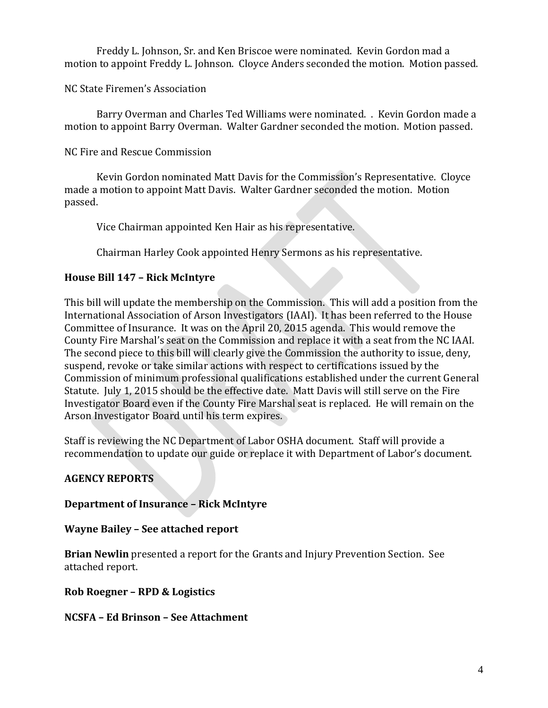Freddy L. Johnson, Sr. and Ken Briscoe were nominated. Kevin Gordon mad a motion to appoint Freddy L. Johnson. Cloyce Anders seconded the motion. Motion passed.

NC State Firemen's Association

Barry Overman and Charles Ted Williams were nominated. . Kevin Gordon made a motion to appoint Barry Overman. Walter Gardner seconded the motion. Motion passed.

NC Fire and Rescue Commission

Kevin Gordon nominated Matt Davis for the Commission's Representative. Cloyce made a motion to appoint Matt Davis. Walter Gardner seconded the motion. Motion passed.

Vice Chairman appointed Ken Hair as his representative.

Chairman Harley Cook appointed Henry Sermons as his representative.

## **House Bill 147 – Rick McIntyre**

This bill will update the membership on the Commission. This will add a position from the International Association of Arson Investigators (IAAI). It has been referred to the House Committee of Insurance. It was on the April 20, 2015 agenda. This would remove the County Fire Marshal's seat on the Commission and replace it with a seat from the NC IAAI. The second piece to this bill will clearly give the Commission the authority to issue, deny, suspend, revoke or take similar actions with respect to certifications issued by the Commission of minimum professional qualifications established under the current General Statute. July 1, 2015 should be the effective date. Matt Davis will still serve on the Fire Investigator Board even if the County Fire Marshal seat is replaced. He will remain on the Arson Investigator Board until his term expires.

Staff is reviewing the NC Department of Labor OSHA document. Staff will provide a recommendation to update our guide or replace it with Department of Labor's document.

## **AGENCY REPORTS**

## **Department of Insurance – Rick McIntyre**

**Wayne Bailey – See attached report**

**Brian Newlin** presented a report for the Grants and Injury Prevention Section. See attached report.

**Rob Roegner – RPD & Logistics**

#### **NCSFA – Ed Brinson – See Attachment**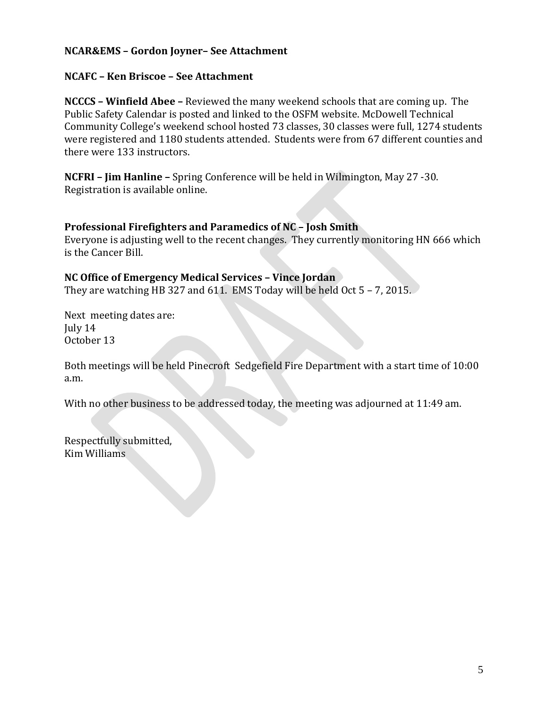### **NCAR&EMS – Gordon Joyner– See Attachment**

#### **NCAFC – Ken Briscoe – See Attachment**

**NCCCS – Winfield Abee –** Reviewed the many weekend schools that are coming up. The Public Safety Calendar is posted and linked to the OSFM website. McDowell Technical Community College's weekend school hosted 73 classes, 30 classes were full, 1274 students were registered and 1180 students attended. Students were from 67 different counties and there were 133 instructors.

**NCFRI – Jim Hanline –** Spring Conference will be held in Wilmington, May 27 -30. Registration is available online.

#### **Professional Firefighters and Paramedics of NC – Josh Smith**

Everyone is adjusting well to the recent changes. They currently monitoring HN 666 which is the Cancer Bill.

#### **NC Office of Emergency Medical Services – Vince Jordan**

They are watching HB 327 and 611. EMS Today will be held Oct 5 – 7, 2015.

Next meeting dates are: July 14 October 13

Both meetings will be held Pinecroft Sedgefield Fire Department with a start time of 10:00 a.m.

With no other business to be addressed today, the meeting was adjourned at 11:49 am.

Respectfully submitted, Kim Williams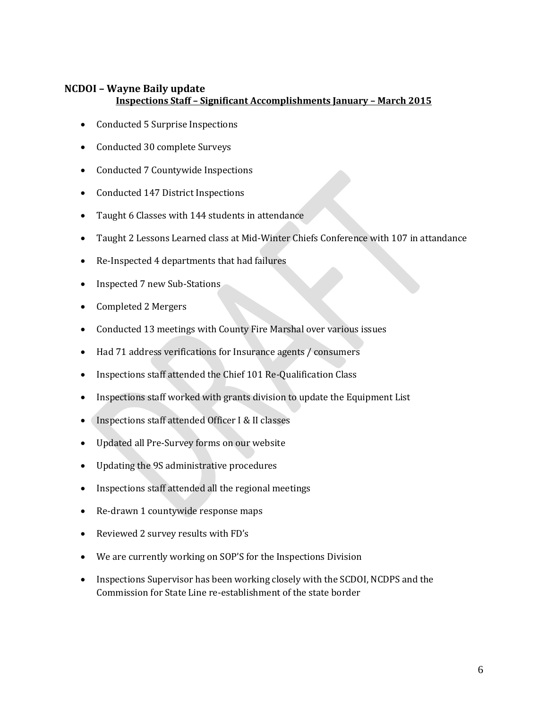### **NCDOI – Wayne Baily update Inspections Staff – Significant Accomplishments January – March 2015**

- Conducted 5 Surprise Inspections
- Conducted 30 complete Surveys
- Conducted 7 Countywide Inspections
- Conducted 147 District Inspections
- Taught 6 Classes with 144 students in attendance
- Taught 2 Lessons Learned class at Mid-Winter Chiefs Conference with 107 in attandance
- Re-Inspected 4 departments that had failures
- Inspected 7 new Sub-Stations
- Completed 2 Mergers
- Conducted 13 meetings with County Fire Marshal over various issues
- Had 71 address verifications for Insurance agents / consumers
- Inspections staff attended the Chief 101 Re-Qualification Class
- Inspections staff worked with grants division to update the Equipment List
- Inspections staff attended Officer I & II classes
- Updated all Pre-Survey forms on our website
- Updating the 9S administrative procedures
- Inspections staff attended all the regional meetings
- Re-drawn 1 countywide response maps
- Reviewed 2 survey results with FD's
- We are currently working on SOP'S for the Inspections Division
- Inspections Supervisor has been working closely with the SCDOI, NCDPS and the Commission for State Line re-establishment of the state border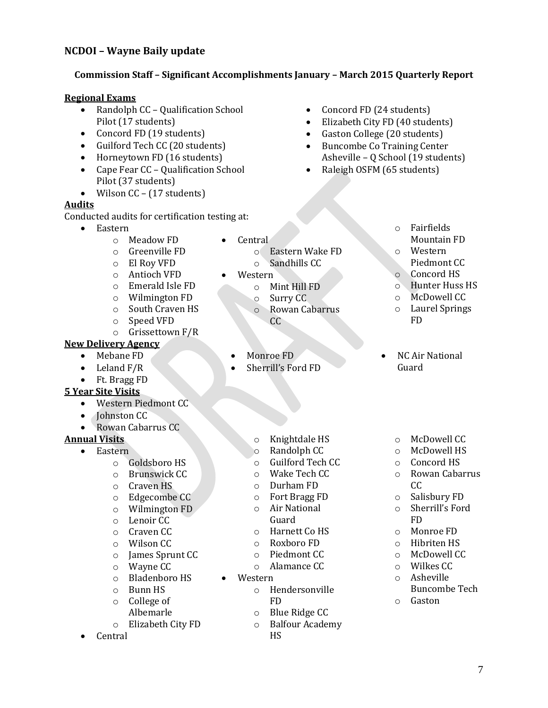#### **NCDOI – Wayne Baily update**

#### **Commission Staff – Significant Accomplishments January – March 2015 Quarterly Report**

#### **Regional Exams**

- Randolph CC Qualification School Pilot (17 students)
- Concord FD (19 students)
- Guilford Tech CC (20 students)
- Horneytown FD (16 students)
- Cape Fear CC Qualification School Pilot (37 students)
- Wilson  $CC (17$  students)

#### **Audits**

Conducted audits for certification testing at:

- Eastern
	- o Meadow FD
	- o Greenville FD
	- o El Roy VFD
	- o Antioch VFD
	- o Emerald Isle FD
	- o Wilmington FD
	- o South Craven HS
	- o Speed VFD
	- o Grissettown F/R

#### **New Delivery Agency**

- Mebane FD
- Leland F/R
- Ft. Bragg FD

#### **5 Year Site Visits**

- Western Piedmont CC
- Johnston CC
- Rowan Cabarrus CC
- **Annual Visits**

#### • Eastern

- o Goldsboro HS
- o Brunswick CC
- o Craven HS
- o Edgecombe CC
- o Wilmington FD
- o Lenoir CC
- o Craven CC
- o Wilson CC
- o James Sprunt CC
- o Wayne CC
- o Bladenboro HS
- o Bunn HS
- o College of Albemarle
- o Elizabeth City FD
- Central
- Concord FD (24 students)
- Elizabeth City FD (40 students)
- Gaston College (20 students)
- Buncombe Co Training Center Asheville – Q School (19 students)
- Raleigh OSFM (65 students)
	- o Fairfields Mountain FD
	- o Western Piedmont CC
	- o Concord HS
	- o Hunter Huss HS
	- o McDowell CC
	- o Laurel Springs
		- FD
	- NC Air National Guard

- o Knightdale HS
- o Randolph CC
- o Guilford Tech CC
- o Wake Tech CC
- o Durham FD
- o Fort Bragg FD
- o Air National Guard
- o Harnett Co HS
- o Roxboro FD
- o Piedmont CC
- o Alamance CC
- Western
	- o Hendersonville FD
	- o Blue Ridge CC
	- o Balfour Academy
		- HS
- o McDowell CC
- o McDowell HS
- o Concord HS
- o Rowan Cabarrus CC
- o Salisbury FD
- o Sherrill's Ford FD
- o Monroe FD
- o Hibriten HS
- o McDowell CC
- o Wilkes CC
- o Asheville Buncombe Tech
- o Gaston

o Surry CC o Rowan Cabarrus CC

o Mint Hill FD

o Eastern Wake FD o Sandhills CC

Monroe FD

• Central

Western

- Sherrill's Ford FD
	-
- -
	-
	-
	-
	-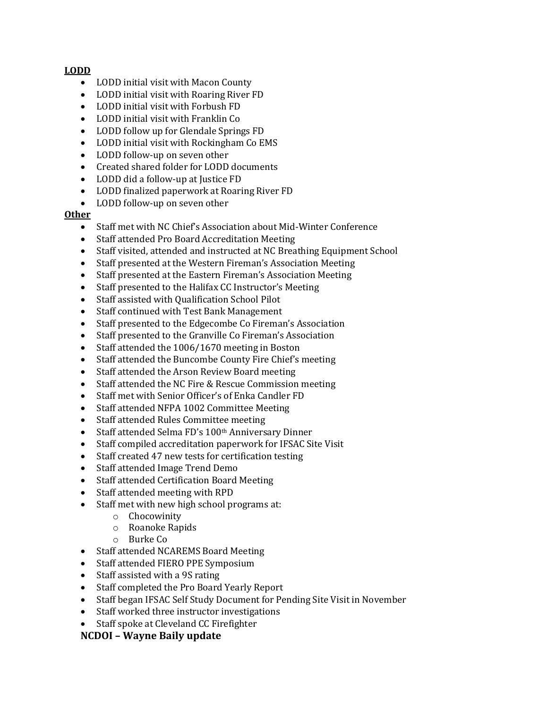#### **LODD**

- LODD initial visit with Macon County
- LODD initial visit with Roaring River FD
- LODD initial visit with Forbush FD
- LODD initial visit with Franklin Co
- LODD follow up for Glendale Springs FD
- LODD initial visit with Rockingham Co EMS
- LODD follow-up on seven other
- Created shared folder for LODD documents
- LODD did a follow-up at Justice FD
- LODD finalized paperwork at Roaring River FD
- LODD follow-up on seven other

#### **Other**

- Staff met with NC Chief's Association about Mid-Winter Conference
- Staff attended Pro Board Accreditation Meeting
- Staff visited, attended and instructed at NC Breathing Equipment School
- Staff presented at the Western Fireman's Association Meeting
- Staff presented at the Eastern Fireman's Association Meeting
- Staff presented to the Halifax CC Instructor's Meeting
- Staff assisted with Qualification School Pilot
- Staff continued with Test Bank Management
- Staff presented to the Edgecombe Co Fireman's Association
- Staff presented to the Granville Co Fireman's Association
- Staff attended the 1006/1670 meeting in Boston
- Staff attended the Buncombe County Fire Chief's meeting
- Staff attended the Arson Review Board meeting
- Staff attended the NC Fire & Rescue Commission meeting
- Staff met with Senior Officer's of Enka Candler FD
- Staff attended NFPA 1002 Committee Meeting
- Staff attended Rules Committee meeting
- Staff attended Selma FD's 100th Anniversary Dinner
- Staff compiled accreditation paperwork for IFSAC Site Visit
- Staff created 47 new tests for certification testing
- Staff attended Image Trend Demo
- Staff attended Certification Board Meeting
- Staff attended meeting with RPD
- Staff met with new high school programs at:
	- o Chocowinity
	- o Roanoke Rapids
	- o Burke Co
- Staff attended NCAREMS Board Meeting
- Staff attended FIERO PPE Symposium
- Staff assisted with a 9S rating
- Staff completed the Pro Board Yearly Report
- Staff began IFSAC Self Study Document for Pending Site Visit in November
- Staff worked three instructor investigations
- Staff spoke at Cleveland CC Firefighter

#### **NCDOI – Wayne Baily update**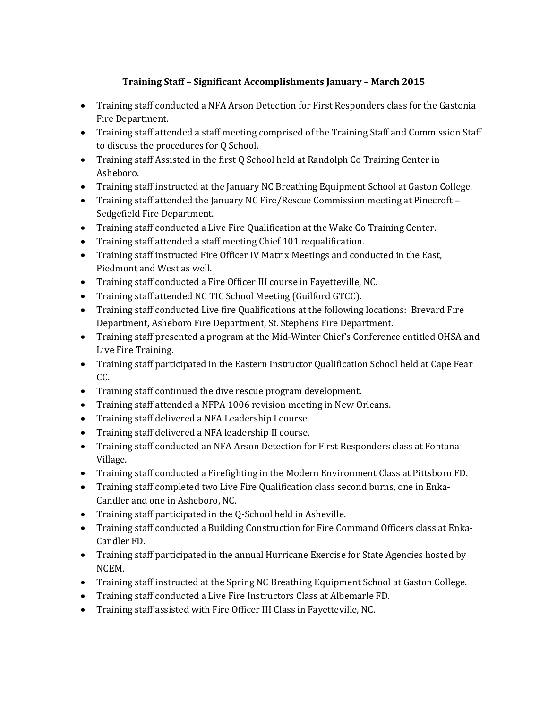### **Training Staff – Significant Accomplishments January – March 2015**

- Training staff conducted a NFA Arson Detection for First Responders class for the Gastonia Fire Department.
- Training staff attended a staff meeting comprised of the Training Staff and Commission Staff to discuss the procedures for Q School.
- Training staff Assisted in the first Q School held at Randolph Co Training Center in Asheboro.
- Training staff instructed at the January NC Breathing Equipment School at Gaston College.
- Training staff attended the January NC Fire/Rescue Commission meeting at Pinecroft Sedgefield Fire Department.
- Training staff conducted a Live Fire Qualification at the Wake Co Training Center.
- Training staff attended a staff meeting Chief 101 requalification.
- Training staff instructed Fire Officer IV Matrix Meetings and conducted in the East, Piedmont and West as well.
- Training staff conducted a Fire Officer III course in Fayetteville, NC.
- Training staff attended NC TIC School Meeting (Guilford GTCC).
- Training staff conducted Live fire Qualifications at the following locations: Brevard Fire Department, Asheboro Fire Department, St. Stephens Fire Department.
- Training staff presented a program at the Mid-Winter Chief's Conference entitled OHSA and Live Fire Training.
- Training staff participated in the Eastern Instructor Qualification School held at Cape Fear CC.
- Training staff continued the dive rescue program development.
- Training staff attended a NFPA 1006 revision meeting in New Orleans.
- Training staff delivered a NFA Leadership I course.
- Training staff delivered a NFA leadership II course.
- Training staff conducted an NFA Arson Detection for First Responders class at Fontana Village.
- Training staff conducted a Firefighting in the Modern Environment Class at Pittsboro FD.
- Training staff completed two Live Fire Qualification class second burns, one in Enka-Candler and one in Asheboro, NC.
- Training staff participated in the Q-School held in Asheville.
- Training staff conducted a Building Construction for Fire Command Officers class at Enka-Candler FD.
- Training staff participated in the annual Hurricane Exercise for State Agencies hosted by NCEM.
- Training staff instructed at the Spring NC Breathing Equipment School at Gaston College.
- Training staff conducted a Live Fire Instructors Class at Albemarle FD.
- Training staff assisted with Fire Officer III Class in Fayetteville, NC.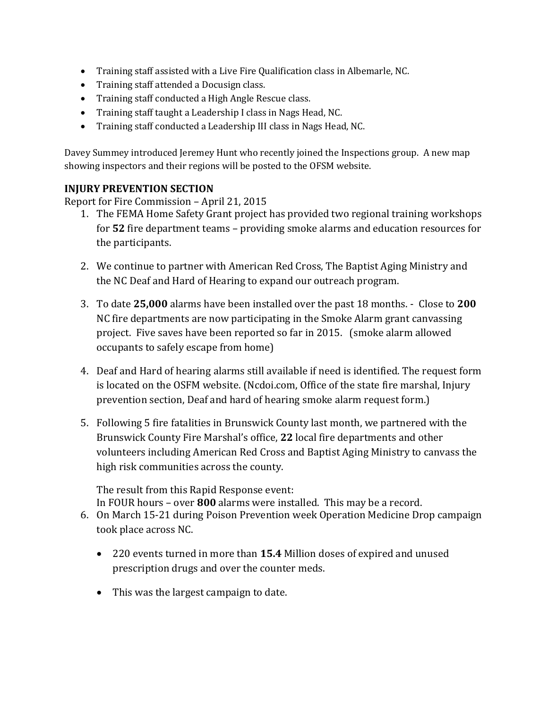- Training staff assisted with a Live Fire Qualification class in Albemarle, NC.
- Training staff attended a Docusign class.
- Training staff conducted a High Angle Rescue class.
- Training staff taught a Leadership I class in Nags Head, NC.
- Training staff conducted a Leadership III class in Nags Head, NC.

Davey Summey introduced Jeremey Hunt who recently joined the Inspections group. A new map showing inspectors and their regions will be posted to the OFSM website.

#### **INJURY PREVENTION SECTION**

Report for Fire Commission – April 21, 2015

- 1. The FEMA Home Safety Grant project has provided two regional training workshops for **52** fire department teams – providing smoke alarms and education resources for the participants.
- 2. We continue to partner with American Red Cross, The Baptist Aging Ministry and the NC Deaf and Hard of Hearing to expand our outreach program.
- 3. To date **25,000** alarms have been installed over the past 18 months. Close to **200** NC fire departments are now participating in the Smoke Alarm grant canvassing project. Five saves have been reported so far in 2015. (smoke alarm allowed occupants to safely escape from home)
- 4. Deaf and Hard of hearing alarms still available if need is identified. The request form is located on the OSFM website. (Ncdoi.com, Office of the state fire marshal, Injury prevention section, Deaf and hard of hearing smoke alarm request form.)
- 5. Following 5 fire fatalities in Brunswick County last month, we partnered with the Brunswick County Fire Marshal's office, **22** local fire departments and other volunteers including American Red Cross and Baptist Aging Ministry to canvass the high risk communities across the county.

The result from this Rapid Response event:

In FOUR hours – over **800** alarms were installed. This may be a record.

- 6. On March 15-21 during Poison Prevention week Operation Medicine Drop campaign took place across NC.
	- 220 events turned in more than **15.4** Million doses of expired and unused prescription drugs and over the counter meds.
	- This was the largest campaign to date.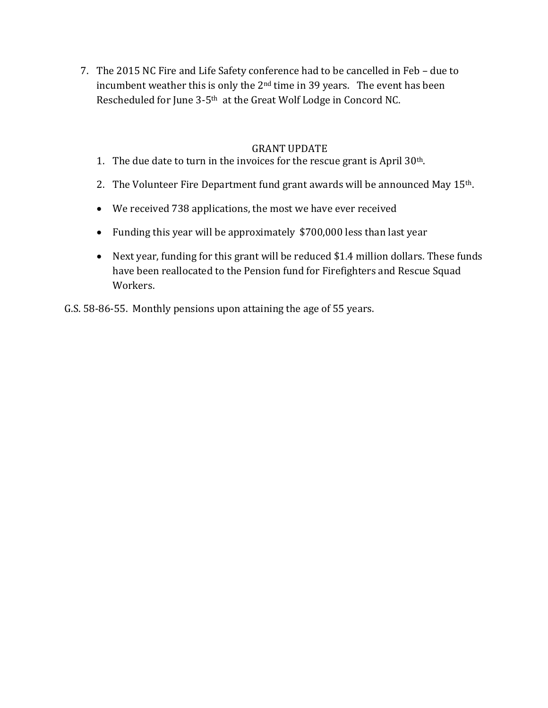7. The 2015 NC Fire and Life Safety conference had to be cancelled in Feb – due to incumbent weather this is only the 2nd time in 39 years. The event has been Rescheduled for June 3-5th at the Great Wolf Lodge in Concord NC.

#### GRANT UPDATE

- 1. The due date to turn in the invoices for the rescue grant is April 30th.
- 2. The Volunteer Fire Department fund grant awards will be announced May 15<sup>th</sup>.
- We received 738 applications, the most we have ever received
- Funding this year will be approximately \$700,000 less than last year
- Next year, funding for this grant will be reduced \$1.4 million dollars. These funds have been reallocated to the Pension fund for Firefighters and Rescue Squad Workers.

G.S. 58-86-55. Monthly pensions upon attaining the age of 55 years.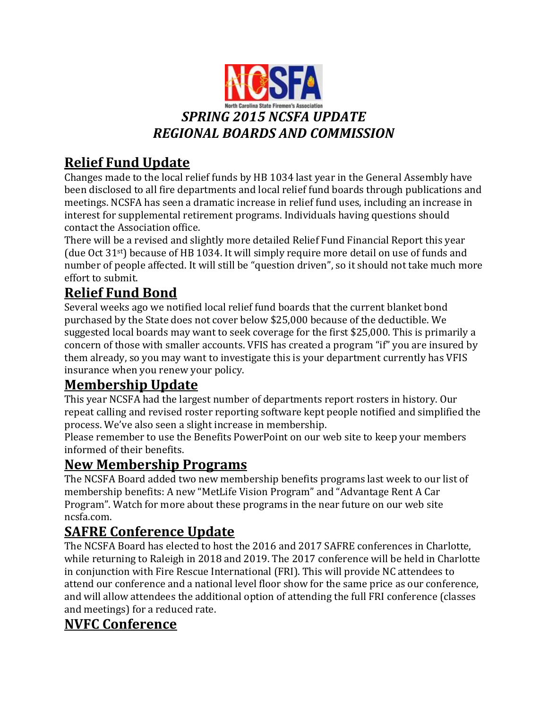

## **Relief Fund Update**

Changes made to the local relief funds by HB 1034 last year in the General Assembly have been disclosed to all fire departments and local relief fund boards through publications and meetings. NCSFA has seen a dramatic increase in relief fund uses, including an increase in interest for supplemental retirement programs. Individuals having questions should contact the Association office.

There will be a revised and slightly more detailed Relief Fund Financial Report this year (due Oct 31st) because of HB 1034. It will simply require more detail on use of funds and number of people affected. It will still be "question driven", so it should not take much more effort to submit.

## **Relief Fund Bond**

Several weeks ago we notified local relief fund boards that the current blanket bond purchased by the State does not cover below \$25,000 because of the deductible. We suggested local boards may want to seek coverage for the first \$25,000. This is primarily a concern of those with smaller accounts. VFIS has created a program "if" you are insured by them already, so you may want to investigate this is your department currently has VFIS insurance when you renew your policy.

## **Membership Update**

This year NCSFA had the largest number of departments report rosters in history. Our repeat calling and revised roster reporting software kept people notified and simplified the process. We've also seen a slight increase in membership.

Please remember to use the Benefits PowerPoint on our web site to keep your members informed of their benefits.

## **New Membership Programs**

The NCSFA Board added two new membership benefits programs last week to our list of membership benefits: A new "MetLife Vision Program" and "Advantage Rent A Car Program". Watch for more about these programs in the near future on our web site ncsfa.com.

## **SAFRE Conference Update**

The NCSFA Board has elected to host the 2016 and 2017 SAFRE conferences in Charlotte, while returning to Raleigh in 2018 and 2019. The 2017 conference will be held in Charlotte in conjunction with Fire Rescue International (FRI). This will provide NC attendees to attend our conference and a national level floor show for the same price as our conference, and will allow attendees the additional option of attending the full FRI conference (classes and meetings) for a reduced rate.

## **NVFC Conference**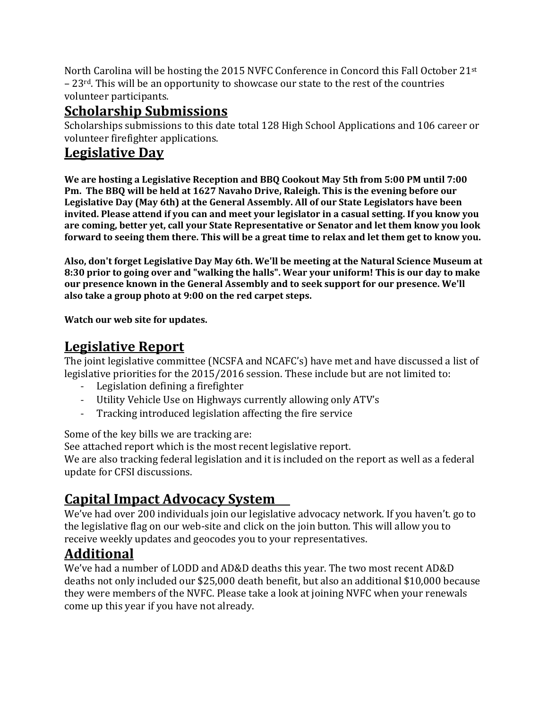North Carolina will be hosting the 2015 NVFC Conference in Concord this Fall October 21st  $-23$ <sup>rd</sup>. This will be an opportunity to showcase our state to the rest of the countries volunteer participants.

## **Scholarship Submissions**

Scholarships submissions to this date total 128 High School Applications and 106 career or volunteer firefighter applications.

# **Legislative Day**

**We are hosting a Legislative Reception and BBQ Cookout May 5th from 5:00 PM until 7:00 Pm. The BBQ will be held at 1627 Navaho Drive, Raleigh. This is the evening before our Legislative Day (May 6th) at the General Assembly. All of our State Legislators have been invited. Please attend if you can and meet your legislator in a casual setting. If you know you are coming, better yet, call your State Representative or Senator and let them know you look forward to seeing them there. This will be a great time to relax and let them get to know you.**

**Also, don't forget Legislative Day May 6th. We'll be meeting at the Natural Science Museum at 8:30 prior to going over and "walking the halls". Wear your uniform! This is our day to make our presence known in the General Assembly and to seek support for our presence. We'll also take a group photo at 9:00 on the red carpet steps.** 

**Watch our web site for updates.**

## **Legislative Report**

The joint legislative committee (NCSFA and NCAFC's) have met and have discussed a list of legislative priorities for the 2015/2016 session. These include but are not limited to:

- Legislation defining a firefighter
- Utility Vehicle Use on Highways currently allowing only ATV's
- Tracking introduced legislation affecting the fire service

Some of the key bills we are tracking are:

See attached report which is the most recent legislative report.

We are also tracking federal legislation and it is included on the report as well as a federal update for CFSI discussions.

# **Capital Impact Advocacy System**

We've had over 200 individuals join our legislative advocacy network. If you haven't. go to the legislative flag on our web-site and click on the join button. This will allow you to receive weekly updates and geocodes you to your representatives.

# **Additional**

We've had a number of LODD and AD&D deaths this year. The two most recent AD&D deaths not only included our \$25,000 death benefit, but also an additional \$10,000 because they were members of the NVFC. Please take a look at joining NVFC when your renewals come up this year if you have not already.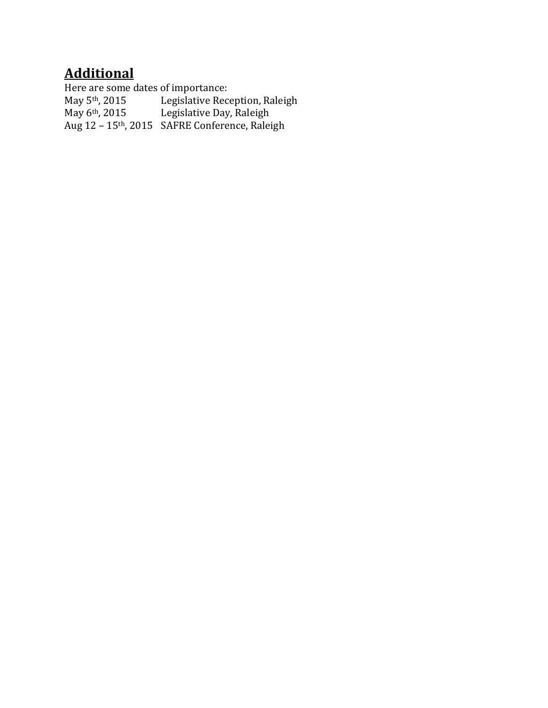## **Additional**

Here are some dates of importance:<br>May 5<sup>th</sup>, 2015 Legislative Rec May 5<sup>th</sup>, 2015 Legislative Reception, Raleigh<br>May 6<sup>th</sup>, 2015 Legislative Day, Raleigh Legislative Day, Raleigh Aug 12 – 15th, 2015 SAFRE Conference, Raleigh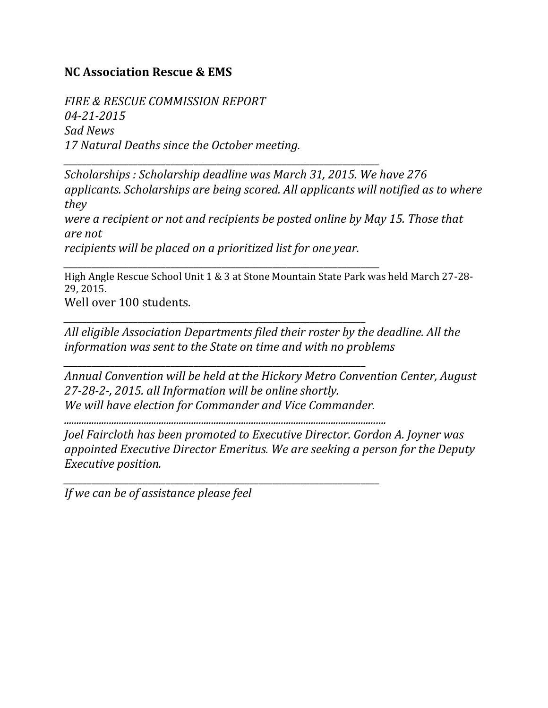## **NC Association Rescue & EMS**

*FIRE & RESCUE COMMISSION REPORT 04-21-2015 Sad News 17 Natural Deaths since the October meeting.*

*Scholarships : Scholarship deadline was March 31, 2015. We have 276 applicants. Scholarships are being scored. All applicants will notified as to where they*

*were a recipient or not and recipients be posted online by May 15. Those that are not*

*recipients will be placed on a prioritized list for one year.*

*\_\_\_\_\_\_\_\_\_\_\_\_\_\_\_\_\_\_\_\_\_\_\_\_\_\_\_\_\_\_\_\_\_\_\_\_\_\_\_\_\_\_\_\_\_\_\_\_\_\_\_\_\_\_\_\_\_\_\_\_\_\_\_\_\_*

*\_\_\_\_\_\_\_\_\_\_\_\_\_\_\_\_\_\_\_\_\_\_\_\_\_\_\_\_\_\_\_\_\_\_\_\_\_\_\_\_\_\_\_\_\_\_\_\_\_\_\_\_\_\_\_\_\_\_\_\_\_\_\_\_\_*

*\_\_\_\_\_\_\_\_\_\_\_\_\_\_\_\_\_\_\_\_\_\_\_\_\_\_\_\_\_\_\_\_\_\_\_\_\_\_\_\_\_\_\_\_\_\_\_\_\_\_\_\_\_\_\_\_\_\_\_\_\_\_\_\_\_\_\_\_*

*\_\_\_\_\_\_\_\_\_\_\_\_\_\_\_\_\_\_\_\_\_\_\_\_\_\_\_\_\_\_\_\_\_\_\_\_\_\_\_\_\_\_\_\_\_\_\_\_\_\_\_\_\_\_\_\_\_\_\_\_\_\_\_\_\_\_\_\_*

High Angle Rescue School Unit 1 & 3 at Stone Mountain State Park was held March 27-28- 29, 2015.

Well over 100 students.

*All eligible Association Departments filed their roster by the deadline. All the information was sent to the State on time and with no problems*

*Annual Convention will be held at the Hickory Metro Convention Center, August 27-28-2-, 2015. all Information will be online shortly. We will have election for Commander and Vice Commander.*

*.................................................................................................................................*

*\_\_\_\_\_\_\_\_\_\_\_\_\_\_\_\_\_\_\_\_\_\_\_\_\_\_\_\_\_\_\_\_\_\_\_\_\_\_\_\_\_\_\_\_\_\_\_\_\_\_\_\_\_\_\_\_\_\_\_\_\_\_\_\_\_\_\_\_*

*Joel Faircloth has been promoted to Executive Director. Gordon A. Joyner was appointed Executive Director Emeritus. We are seeking a person for the Deputy Executive position.*

*If we can be of assistance please feel*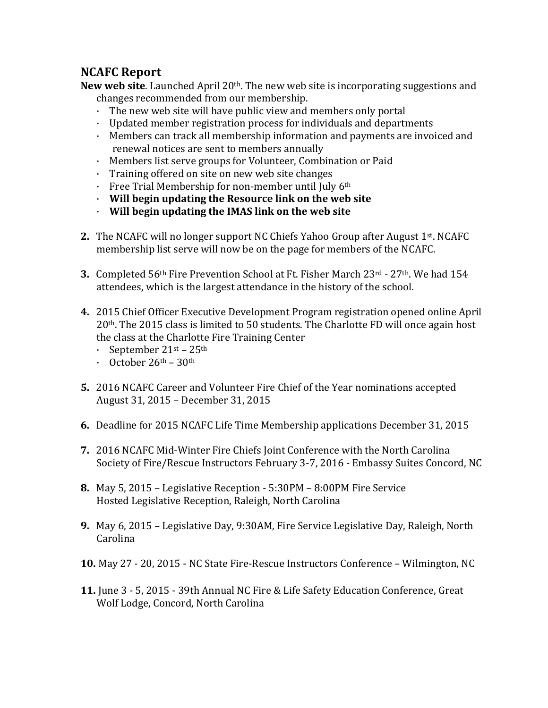## **NCAFC Report**

**New web site**. Launched April 20th. The new web site is incorporating suggestions and changes recommended from our membership.

- · The new web site will have public view and members only portal
- · Updated member registration process for individuals and departments
- · Members can track all membership information and payments are invoiced and renewal notices are sent to members annually
- · Members list serve groups for Volunteer, Combination or Paid
- · Training offered on site on new web site changes
- $\cdot$  Free Trial Membership for non-member until July 6<sup>th</sup>
- · **Will begin updating the Resource link on the web site**
- · **Will begin updating the IMAS link on the web site**
- **2.** The NCAFC will no longer support NC Chiefs Yahoo Group after August 1st. NCAFC membership list serve will now be on the page for members of the NCAFC.
- **3.** Completed 56th Fire Prevention School at Ft. Fisher March 23rd 27th. We had 154 attendees, which is the largest attendance in the history of the school.
- **4.** 2015 Chief Officer Executive Development Program registration opened online April 20th. The 2015 class is limited to 50 students. The Charlotte FD will once again host the class at the Charlotte Fire Training Center
	- September  $21^{st}$   $25^{th}$
	- October  $26<sup>th</sup> 30<sup>th</sup>$
- **5.** 2016 NCAFC Career and Volunteer Fire Chief of the Year nominations accepted August 31, 2015 – December 31, 2015
- **6.** Deadline for 2015 NCAFC Life Time Membership applications December 31, 2015
- **7.** 2016 NCAFC Mid-Winter Fire Chiefs Joint Conference with the North Carolina Society of Fire/Rescue Instructors February 3-7, 2016 - Embassy Suites Concord, NC
- **8.** May 5, 2015 Legislative Reception 5:30PM 8:00PM Fire Service Hosted Legislative Reception, Raleigh, North Carolina
- **9.** May 6, 2015 Legislative Day, 9:30AM, Fire Service Legislative Day, Raleigh, North Carolina
- **10.** May 27 20, 2015 NC State Fire-Rescue Instructors Conference Wilmington, NC
- **11.** June 3 5, 2015 39th Annual NC Fire & Life Safety Education Conference, Great Wolf Lodge, Concord, North Carolina